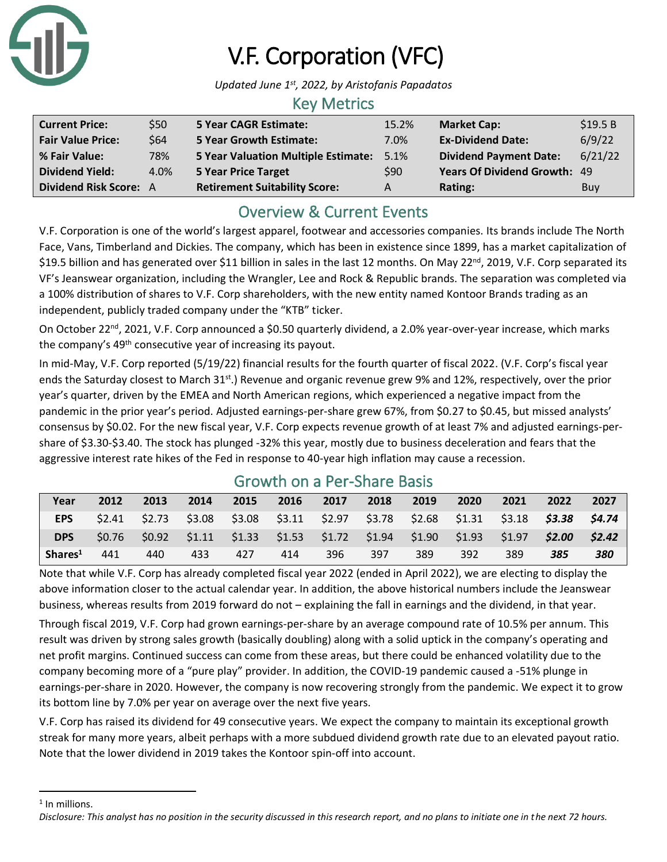

# V.F. Corporation (VFC)

*Updated June 1st, 2022, by Aristofanis Papadatos*

#### Key Metrics

| <b>Current Price:</b>    | \$50 | <b>5 Year CAGR Estimate:</b>               | 15.2% | <b>Market Cap:</b>                  | \$19.5 B |
|--------------------------|------|--------------------------------------------|-------|-------------------------------------|----------|
| <b>Fair Value Price:</b> | \$64 | <b>5 Year Growth Estimate:</b>             | 7.0%  | <b>Ex-Dividend Date:</b>            | 6/9/22   |
| % Fair Value:            | 78%  | <b>5 Year Valuation Multiple Estimate:</b> | 5.1%  | <b>Dividend Payment Date:</b>       | 6/21/22  |
| <b>Dividend Yield:</b>   | 4.0% | <b>5 Year Price Target</b>                 | \$90  | <b>Years Of Dividend Growth: 49</b> |          |
| Dividend Risk Score: A   |      | <b>Retirement Suitability Score:</b>       | A     | Rating:                             | Buy      |

## Overview & Current Events

V.F. Corporation is one of the world's largest apparel, footwear and accessories companies. Its brands include The North Face, Vans, Timberland and Dickies. The company, which has been in existence since 1899, has a market capitalization of \$19.5 billion and has generated over \$11 billion in sales in the last 12 months. On May 22<sup>nd</sup>, 2019, V.F. Corp separated its VF's Jeanswear organization, including the Wrangler, Lee and Rock & Republic brands. The separation was completed via a 100% distribution of shares to V.F. Corp shareholders, with the new entity named Kontoor Brands trading as an independent, publicly traded company under the "KTB" ticker.

On October 22<sup>nd</sup>, 2021, V.F. Corp announced a \$0.50 quarterly dividend, a 2.0% year-over-year increase, which marks the company's 49<sup>th</sup> consecutive year of increasing its payout.

In mid-May, V.F. Corp reported (5/19/22) financial results for the fourth quarter of fiscal 2022. (V.F. Corp's fiscal year ends the Saturday closest to March 31<sup>st</sup>.) Revenue and organic revenue grew 9% and 12%, respectively, over the prior year's quarter, driven by the EMEA and North American regions, which experienced a negative impact from the pandemic in the prior year's period. Adjusted earnings-per-share grew 67%, from \$0.27 to \$0.45, but missed analysts' consensus by \$0.02. For the new fiscal year, V.F. Corp expects revenue growth of at least 7% and adjusted earnings-pershare of \$3.30-\$3.40. The stock has plunged -32% this year, mostly due to business deceleration and fears that the aggressive interest rate hikes of the Fed in response to 40-year high inflation may cause a recession.

| Growth on a Per-Share Basis |                  |      |      |      |                                                                 |      |      |      |        |        |                      |       |
|-----------------------------|------------------|------|------|------|-----------------------------------------------------------------|------|------|------|--------|--------|----------------------|-------|
| Year                        | 2012             | 2013 | 2014 | 2015 | 2016                                                            | 2017 | 2018 | 2019 | 2020   | 2021   | 2022                 | 2027  |
| <b>EPS</b>                  | $\mathsf{S}2.41$ |      |      |      | $$2.73$ $$3.08$ $$3.08$ $$3.11$ $$2.97$ $$3.78$ $$2.68$ $$1.31$ |      |      |      |        |        | \$3.18 <b>\$3.38</b> | S4.74 |
| <b>DPS</b>                  | \$0.76           |      |      |      | $$0.92$ $$1.11$ $$1.33$ $$1.53$ $$1.72$ $$1.94$ $$1.90$         |      |      |      | \$1.93 | \$1.97 | \$2.00               | 52.42 |
| Shares <sup>1</sup>         | 441              | 440  | 433  | 427  | 414                                                             | 396  | 397  | 389  | 392    | 389    | 385                  | 380   |

# Growth on a Per-Share Basis

Note that while V.F. Corp has already completed fiscal year 2022 (ended in April 2022), we are electing to display the above information closer to the actual calendar year. In addition, the above historical numbers include the Jeanswear business, whereas results from 2019 forward do not – explaining the fall in earnings and the dividend, in that year.

Through fiscal 2019, V.F. Corp had grown earnings-per-share by an average compound rate of 10.5% per annum. This result was driven by strong sales growth (basically doubling) along with a solid uptick in the company's operating and net profit margins. Continued success can come from these areas, but there could be enhanced volatility due to the company becoming more of a "pure play" provider. In addition, the COVID-19 pandemic caused a -51% plunge in earnings-per-share in 2020. However, the company is now recovering strongly from the pandemic. We expect it to grow its bottom line by 7.0% per year on average over the next five years.

V.F. Corp has raised its dividend for 49 consecutive years. We expect the company to maintain its exceptional growth streak for many more years, albeit perhaps with a more subdued dividend growth rate due to an elevated payout ratio. Note that the lower dividend in 2019 takes the Kontoor spin-off into account.

<sup>1</sup> In millions.

*Disclosure: This analyst has no position in the security discussed in this research report, and no plans to initiate one in the next 72 hours.*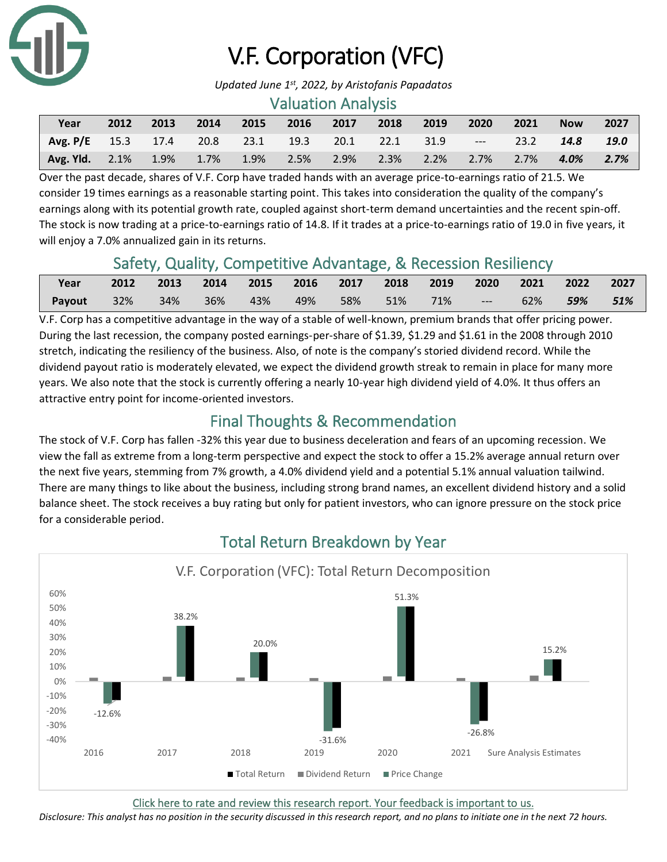

# V.F. Corporation (VFC)

*Updated June 1st, 2022, by Aristofanis Papadatos*

#### Valuation Analysis

| Year                                                           | 2012 | 2013 | 2014 | 2015 2016 2017 | 2018 2019                                                 | 2020 | 2021 | <b>Now</b> | 2027 |
|----------------------------------------------------------------|------|------|------|----------------|-----------------------------------------------------------|------|------|------------|------|
| Avg. P/E 15.3 17.4 20.8 23.1 19.3 20.1 22.1 31.9 --- 23.2 14.8 |      |      |      |                |                                                           |      |      |            | 19.0 |
| <b>Avg. Yld.</b> 2.1%                                          |      |      |      |                | $1.9\%$ 1.7% 1.9% 2.5% 2.9% 2.3% 2.2% 2.7% 2.7% 4.0% 2.7% |      |      |            |      |

Over the past decade, shares of V.F. Corp have traded hands with an average price-to-earnings ratio of 21.5. We consider 19 times earnings as a reasonable starting point. This takes into consideration the quality of the company's earnings along with its potential growth rate, coupled against short-term demand uncertainties and the recent spin-off. The stock is now trading at a price-to-earnings ratio of 14.8. If it trades at a price-to-earnings ratio of 19.0 in five years, it will enjoy a 7.0% annualized gain in its returns.

## Safety, Quality, Competitive Advantage, & Recession Resiliency

| Year       |  |  | 2012 2013 2014 2015 2016 2017 2018 2019 2020 2021 2022 2027 |  |  |                |     |
|------------|--|--|-------------------------------------------------------------|--|--|----------------|-----|
| Payout 32% |  |  | 34% 36% 43% 49% 58% 51% 71% ---                             |  |  | 62% <b>59%</b> | 51% |

V.F. Corp has a competitive advantage in the way of a stable of well-known, premium brands that offer pricing power. During the last recession, the company posted earnings-per-share of \$1.39, \$1.29 and \$1.61 in the 2008 through 2010 stretch, indicating the resiliency of the business. Also, of note is the company's storied dividend record. While the dividend payout ratio is moderately elevated, we expect the dividend growth streak to remain in place for many more years. We also note that the stock is currently offering a nearly 10-year high dividend yield of 4.0%. It thus offers an attractive entry point for income-oriented investors.

## Final Thoughts & Recommendation

The stock of V.F. Corp has fallen -32% this year due to business deceleration and fears of an upcoming recession. We view the fall as extreme from a long-term perspective and expect the stock to offer a 15.2% average annual return over the next five years, stemming from 7% growth, a 4.0% dividend yield and a potential 5.1% annual valuation tailwind. There are many things to like about the business, including strong brand names, an excellent dividend history and a solid balance sheet. The stock receives a buy rating but only for patient investors, who can ignore pressure on the stock price for a considerable period.



# Total Return Breakdown by Year

[Click here to rate and review this research report. Your feedback is important to us.](https://suredividend.typeform.com/to/S0SIkB)

*Disclosure: This analyst has no position in the security discussed in this research report, and no plans to initiate one in the next 72 hours.*